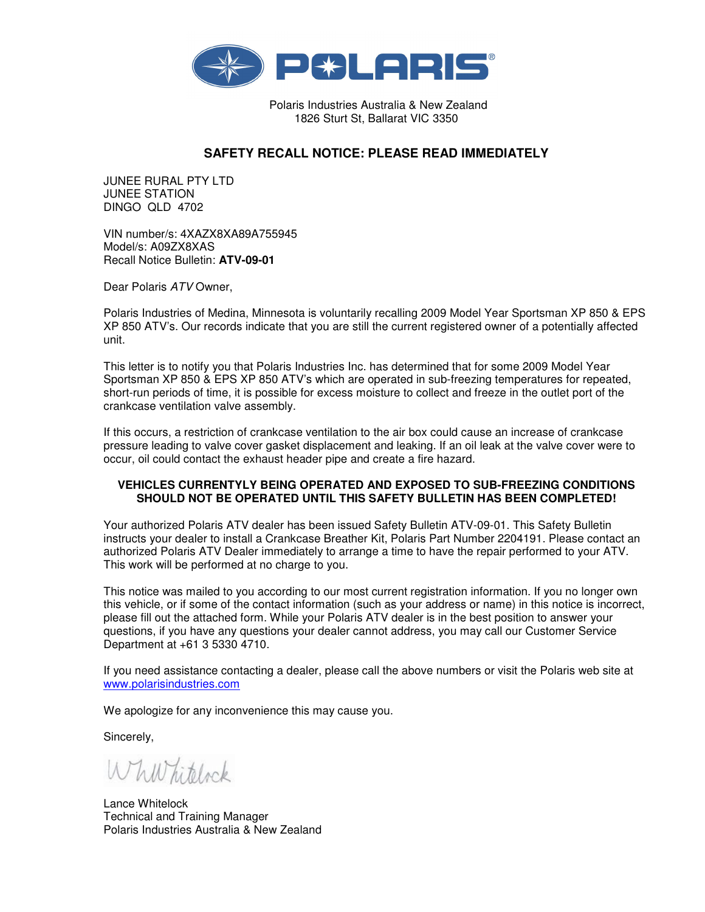

Polaris Industries Australia & New Zealand 1826 Sturt St, Ballarat VIC 3350

## **SAFETY RECALL NOTICE: PLEASE READ IMMEDIATELY**

JUNEE RURAL PTY LTD JUNEE STATION DINGO QLD 4702

VIN number/s: 4XAZX8XA89A755945 Model/s: A09ZX8XAS Recall Notice Bulletin: **ATV-09-01** 

Dear Polaris ATV Owner,

Polaris Industries of Medina, Minnesota is voluntarily recalling 2009 Model Year Sportsman XP 850 & EPS XP 850 ATV's. Our records indicate that you are still the current registered owner of a potentially affected unit.

This letter is to notify you that Polaris Industries Inc. has determined that for some 2009 Model Year Sportsman XP 850 & EPS XP 850 ATV's which are operated in sub-freezing temperatures for repeated, short-run periods of time, it is possible for excess moisture to collect and freeze in the outlet port of the crankcase ventilation valve assembly.

If this occurs, a restriction of crankcase ventilation to the air box could cause an increase of crankcase pressure leading to valve cover gasket displacement and leaking. If an oil leak at the valve cover were to occur, oil could contact the exhaust header pipe and create a fire hazard.

## **VEHICLES CURRENTYLY BEING OPERATED AND EXPOSED TO SUB-FREEZING CONDITIONS SHOULD NOT BE OPERATED UNTIL THIS SAFETY BULLETIN HAS BEEN COMPLETED!**

Your authorized Polaris ATV dealer has been issued Safety Bulletin ATV-09-01. This Safety Bulletin instructs your dealer to install a Crankcase Breather Kit, Polaris Part Number 2204191. Please contact an authorized Polaris ATV Dealer immediately to arrange a time to have the repair performed to your ATV. This work will be performed at no charge to you.

This notice was mailed to you according to our most current registration information. If you no longer own this vehicle, or if some of the contact information (such as your address or name) in this notice is incorrect, please fill out the attached form. While your Polaris ATV dealer is in the best position to answer your questions, if you have any questions your dealer cannot address, you may call our Customer Service Department at +61 3 5330 4710.

If you need assistance contacting a dealer, please call the above numbers or visit the Polaris web site at www.polarisindustries.com

We apologize for any inconvenience this may cause you.

Sincerely,

Whill hitelock

Lance Whitelock Technical and Training Manager Polaris Industries Australia & New Zealand